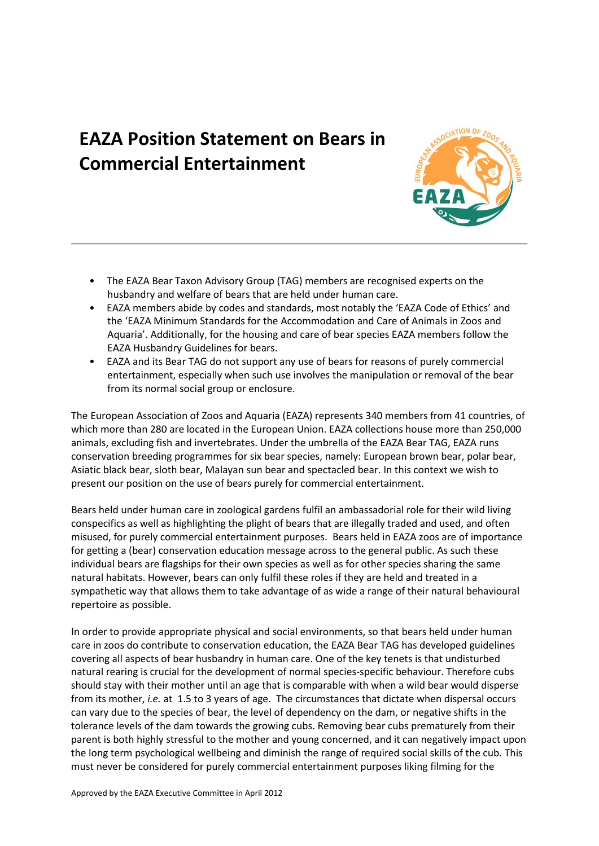## **EAZA Position Statement on Bears in Commercial Entertainment**



- The EAZA Bear Taxon Advisory Group (TAG) members are recognised experts on the husbandry and welfare of bears that are held under human care.
- EAZA members abide by codes and standards, most notably the 'EAZA Code of Ethics' and the 'EAZA Minimum Standards for the Accommodation and Care of Animals in Zoos and Aquaria'. Additionally, for the housing and care of bear species EAZA members follow the EAZA Husbandry Guidelines for bears.
- EAZA and its Bear TAG do not support any use of bears for reasons of purely commercial entertainment, especially when such use involves the manipulation or removal of the bear from its normal social group or enclosure.

The European Association of Zoos and Aquaria (EAZA) represents 340 members from 41 countries, of which more than 280 are located in the European Union. EAZA collections house more than 250,000 animals, excluding fish and invertebrates. Under the umbrella of the EAZA Bear TAG, EAZA runs conservation breeding programmes for six bear species, namely: European brown bear, polar bear, Asiatic black bear, sloth bear, Malayan sun bear and spectacled bear. In this context we wish to present our position on the use of bears purely for commercial entertainment.

Bears held under human care in zoological gardens fulfil an ambassadorial role for their wild living conspecifics as well as highlighting the plight of bears that are illegally traded and used, and often misused, for purely commercial entertainment purposes. Bears held in EAZA zoos are of importance for getting a (bear) conservation education message across to the general public. As such these individual bears are flagships for their own species as well as for other species sharing the same natural habitats. However, bears can only fulfil these roles if they are held and treated in a sympathetic way that allows them to take advantage of as wide a range of their natural behavioural repertoire as possible.

In order to provide appropriate physical and social environments, so that bears held under human care in zoos do contribute to conservation education, the EAZA Bear TAG has developed guidelines covering all aspects of bear husbandry in human care. One of the key tenets is that undisturbed natural rearing is crucial for the development of normal species-specific behaviour. Therefore cubs should stay with their mother until an age that is comparable with when a wild bear would disperse from its mother, *i.e.* at 1.5 to 3 years of age. The circumstances that dictate when dispersal occurs can vary due to the species of bear, the level of dependency on the dam, or negative shifts in the tolerance levels of the dam towards the growing cubs. Removing bear cubs prematurely from their parent is both highly stressful to the mother and young concerned, and it can negatively impact upon the long term psychological wellbeing and diminish the range of required social skills of the cub. This must never be considered for purely commercial entertainment purposes liking filming for the